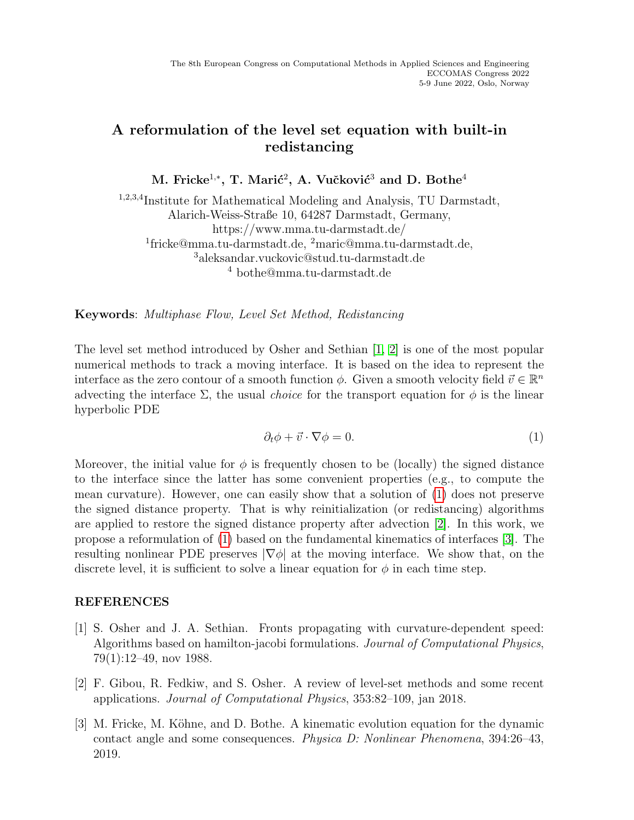## A reformulation of the level set equation with built-in redistancing

M. Fricke $^{1,*},$  T. Marić $^{2},$  A. Vučković $^{3}$  and D. Bothe $^{4}$ 

<sup>1,2,3,4</sup>Institute for Mathematical Modeling and Analysis, TU Darmstadt, Alarich-Weiss-Straße 10, 64287 Darmstadt, Germany, https://www.mma.tu-darmstadt.de/ 1 fricke@mma.tu-darmstadt.de, <sup>2</sup>maric@mma.tu-darmstadt.de, <sup>3</sup>aleksandar.vuckovic@stud.tu-darmstadt.de <sup>4</sup> bothe@mma.tu-darmstadt.de

Keywords: Multiphase Flow, Level Set Method, Redistancing

The level set method introduced by Osher and Sethian [\[1,](#page-0-0) [2\]](#page-0-1) is one of the most popular numerical methods to track a moving interface. It is based on the idea to represent the interface as the zero contour of a smooth function  $\phi$ . Given a smooth velocity field  $\vec{v} \in \mathbb{R}^n$ advecting the interface  $\Sigma$ , the usual *choice* for the transport equation for  $\phi$  is the linear hyperbolic PDE

<span id="page-0-2"></span>
$$
\partial_t \phi + \vec{v} \cdot \nabla \phi = 0. \tag{1}
$$

Moreover, the initial value for  $\phi$  is frequently chosen to be (locally) the signed distance to the interface since the latter has some convenient properties (e.g., to compute the mean curvature). However, one can easily show that a solution of [\(1\)](#page-0-2) does not preserve the signed distance property. That is why reinitialization (or redistancing) algorithms are applied to restore the signed distance property after advection [\[2\]](#page-0-1). In this work, we propose a reformulation of [\(1\)](#page-0-2) based on the fundamental kinematics of interfaces [\[3\]](#page-0-3). The resulting nonlinear PDE preserves  $|\nabla \phi|$  at the moving interface. We show that, on the discrete level, it is sufficient to solve a linear equation for  $\phi$  in each time step.

## REFERENCES

- <span id="page-0-0"></span>[1] S. Osher and J. A. Sethian. Fronts propagating with curvature-dependent speed: Algorithms based on hamilton-jacobi formulations. Journal of Computational Physics, 79(1):12–49, nov 1988.
- <span id="page-0-1"></span>[2] F. Gibou, R. Fedkiw, and S. Osher. A review of level-set methods and some recent applications. Journal of Computational Physics, 353:82–109, jan 2018.
- <span id="page-0-3"></span>[3] M. Fricke, M. Köhne, and D. Bothe. A kinematic evolution equation for the dynamic contact angle and some consequences. Physica D: Nonlinear Phenomena, 394:26–43, 2019.